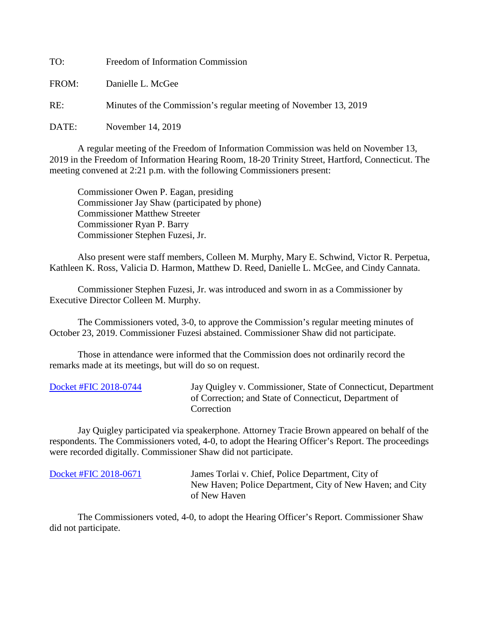TO: Freedom of Information Commission FROM: Danielle L. McGee RE: Minutes of the Commission's regular meeting of November 13, 2019

DATE: November 14, 2019

A regular meeting of the Freedom of Information Commission was held on November 13, 2019 in the Freedom of Information Hearing Room, 18-20 Trinity Street, Hartford, Connecticut. The meeting convened at 2:21 p.m. with the following Commissioners present:

 Commissioner Owen P. Eagan, presiding Commissioner Jay Shaw (participated by phone) Commissioner Matthew Streeter Commissioner Ryan P. Barry Commissioner Stephen Fuzesi, Jr.

 Also present were staff members, Colleen M. Murphy, Mary E. Schwind, Victor R. Perpetua, Kathleen K. Ross, Valicia D. Harmon, Matthew D. Reed, Danielle L. McGee, and Cindy Cannata.

Commissioner Stephen Fuzesi, Jr. was introduced and sworn in as a Commissioner by Executive Director Colleen M. Murphy.

The Commissioners voted, 3-0, to approve the Commission's regular meeting minutes of October 23, 2019. Commissioner Fuzesi abstained. Commissioner Shaw did not participate.

 Those in attendance were informed that the Commission does not ordinarily record the remarks made at its meetings, but will do so on request.

| Docket #FIC 2018-0744 | Jay Quigley v. Commissioner, State of Connecticut, Department |
|-----------------------|---------------------------------------------------------------|
|                       | of Correction; and State of Connecticut, Department of        |
|                       | Correction                                                    |

Jay Quigley participated via speakerphone. Attorney Tracie Brown appeared on behalf of the respondents. The Commissioners voted, 4-0, to adopt the Hearing Officer's Report. The proceedings were recorded digitally. Commissioner Shaw did not participate.

[Docket #FIC 2018-0671](https://portal.ct.gov/-/media/FOI/FinalDecisions/2019/Nov13/2018-0671.pdf?la=en) James Torlai v. Chief, Police Department, City of New Haven; Police Department, City of New Haven; and City of New Haven

The Commissioners voted, 4-0, to adopt the Hearing Officer's Report. Commissioner Shaw did not participate.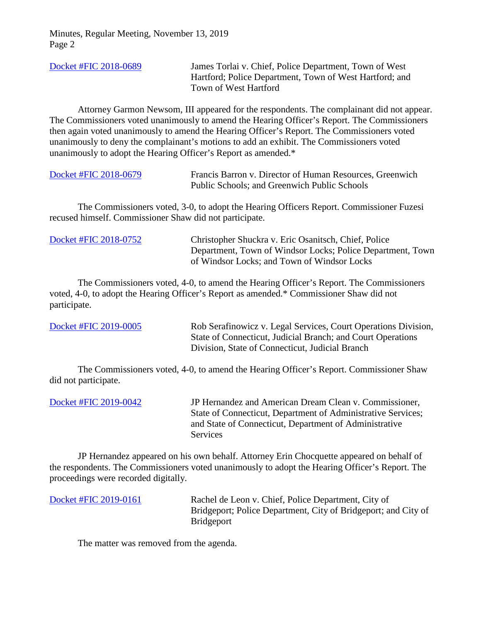| Docket #FIC 2018-0689 | James Torlai v. Chief, Police Department, Town of West<br>Hartford; Police Department, Town of West Hartford; and |
|-----------------------|-------------------------------------------------------------------------------------------------------------------|
|                       | Town of West Hartford                                                                                             |

Attorney Garmon Newsom, III appeared for the respondents. The complainant did not appear. The Commissioners voted unanimously to amend the Hearing Officer's Report. The Commissioners then again voted unanimously to amend the Hearing Officer's Report. The Commissioners voted unanimously to deny the complainant's motions to add an exhibit. The Commissioners voted unanimously to adopt the Hearing Officer's Report as amended.\*

| Docket #FIC 2018-0679 | Francis Barron v. Director of Human Resources, Greenwich |
|-----------------------|----------------------------------------------------------|
|                       | Public Schools; and Greenwich Public Schools             |

The Commissioners voted, 3-0, to adopt the Hearing Officers Report. Commissioner Fuzesi recused himself. Commissioner Shaw did not participate.

| Docket #FIC 2018-0752 | Christopher Shuckra v. Eric Osanitsch, Chief, Police                                                      |
|-----------------------|-----------------------------------------------------------------------------------------------------------|
|                       | Department, Town of Windsor Locks; Police Department, Town<br>of Windsor Locks; and Town of Windsor Locks |
|                       |                                                                                                           |

The Commissioners voted, 4-0, to amend the Hearing Officer's Report. The Commissioners voted, 4-0, to adopt the Hearing Officer's Report as amended.\* Commissioner Shaw did not participate.

[Docket #FIC 2019-0005](https://portal.ct.gov/-/media/FOI/FinalDecisions/2019/Nov13/2019-0005.pdf?la=en) Rob Serafinowicz v. Legal Services, Court Operations Division, State of Connecticut, Judicial Branch; and Court Operations Division, State of Connecticut, Judicial Branch

The Commissioners voted, 4-0, to amend the Hearing Officer's Report. Commissioner Shaw did not participate.

[Docket #FIC 2019-0042](https://portal.ct.gov/-/media/FOI/FinalDecisions/2019/Nov13/2019-0042.pdf?la=en) JP Hernandez and American Dream Clean v. Commissioner, State of Connecticut, Department of Administrative Services; and State of Connecticut, Department of Administrative Services

JP Hernandez appeared on his own behalf. Attorney Erin Chocquette appeared on behalf of the respondents. The Commissioners voted unanimously to adopt the Hearing Officer's Report. The proceedings were recorded digitally.

[Docket #FIC 2019-0161](https://portal.ct.gov/-/media/FOI/FinalDecisions/2019/Nov13/2019-0161.pdf?la=en) Rachel de Leon v. Chief, Police Department, City of Bridgeport; Police Department, City of Bridgeport; and City of Bridgeport

The matter was removed from the agenda.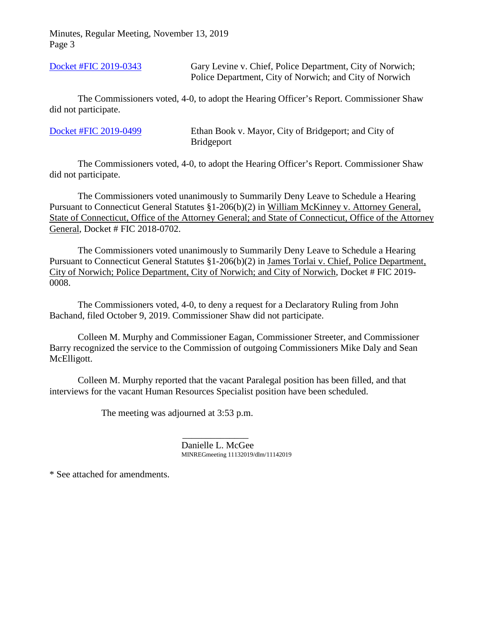[Docket #FIC 2019-0343](https://portal.ct.gov/-/media/FOI/FinalDecisions/2019/Nov13/2019-0343.pdf?la=en) Gary Levine v. Chief, Police Department, City of Norwich; Police Department, City of Norwich; and City of Norwich

The Commissioners voted, 4-0, to adopt the Hearing Officer's Report. Commissioner Shaw did not participate.

[Docket #FIC 2019-0499](https://portal.ct.gov/-/media/FOI/FinalDecisions/2019/Nov13/2019-0499.pdf?la=en) Ethan Book v. Mayor, City of Bridgeport; and City of Bridgeport

The Commissioners voted, 4-0, to adopt the Hearing Officer's Report. Commissioner Shaw did not participate.

The Commissioners voted unanimously to Summarily Deny Leave to Schedule a Hearing Pursuant to Connecticut General Statutes §1-206(b)(2) in William McKinney v. Attorney General, State of Connecticut, Office of the Attorney General; and State of Connecticut, Office of the Attorney General, Docket # FIC 2018-0702.

The Commissioners voted unanimously to Summarily Deny Leave to Schedule a Hearing Pursuant to Connecticut General Statutes §1-206(b)(2) in James Torlai v. Chief, Police Department, City of Norwich; Police Department, City of Norwich; and City of Norwich, Docket # FIC 2019- 0008.

The Commissioners voted, 4-0, to deny a request for a Declaratory Ruling from John Bachand, filed October 9, 2019. Commissioner Shaw did not participate.

Colleen M. Murphy and Commissioner Eagan, Commissioner Streeter, and Commissioner Barry recognized the service to the Commission of outgoing Commissioners Mike Daly and Sean McElligott.

Colleen M. Murphy reported that the vacant Paralegal position has been filled, and that interviews for the vacant Human Resources Specialist position have been scheduled.

The meeting was adjourned at 3:53 p.m.

Danielle L. McGee MINREGmeeting 11132019/dlm/11142019

\* See attached for amendments.

 $\mathcal{L}_\text{max}$  , which is a set of the set of the set of the set of the set of the set of the set of the set of the set of the set of the set of the set of the set of the set of the set of the set of the set of the set of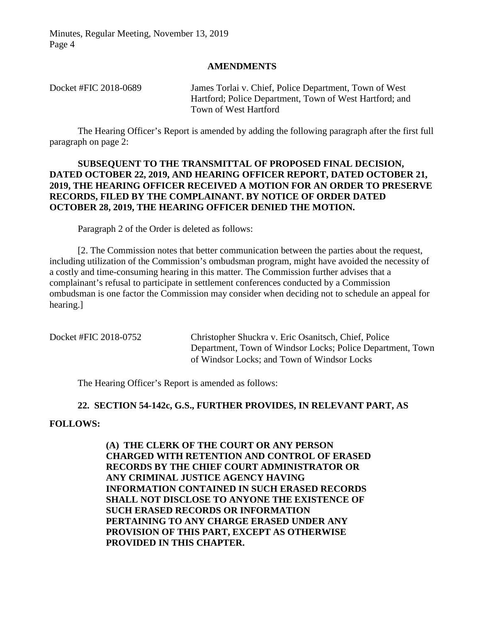#### **AMENDMENTS**

Docket #FIC 2018-0689 James Torlai v. Chief, Police Department, Town of West Hartford; Police Department, Town of West Hartford; and Town of West Hartford

The Hearing Officer's Report is amended by adding the following paragraph after the first full paragraph on page 2:

# **SUBSEQUENT TO THE TRANSMITTAL OF PROPOSED FINAL DECISION, DATED OCTOBER 22, 2019, AND HEARING OFFICER REPORT, DATED OCTOBER 21, 2019, THE HEARING OFFICER RECEIVED A MOTION FOR AN ORDER TO PRESERVE RECORDS, FILED BY THE COMPLAINANT. BY NOTICE OF ORDER DATED OCTOBER 28, 2019, THE HEARING OFFICER DENIED THE MOTION.**

Paragraph 2 of the Order is deleted as follows:

[2. The Commission notes that better communication between the parties about the request, including utilization of the Commission's ombudsman program, might have avoided the necessity of a costly and time-consuming hearing in this matter. The Commission further advises that a complainant's refusal to participate in settlement conferences conducted by a Commission ombudsman is one factor the Commission may consider when deciding not to schedule an appeal for hearing.]

Docket #FIC 2018-0752 Christopher Shuckra v. Eric Osanitsch, Chief, Police Department, Town of Windsor Locks; Police Department, Town of Windsor Locks; and Town of Windsor Locks

The Hearing Officer's Report is amended as follows:

### **22. SECTION 54-142c, G.S., FURTHER PROVIDES, IN RELEVANT PART, AS**

### **FOLLOWS:**

**(A) THE CLERK OF THE COURT OR ANY PERSON CHARGED WITH RETENTION AND CONTROL OF ERASED RECORDS BY THE CHIEF COURT ADMINISTRATOR OR ANY CRIMINAL JUSTICE AGENCY HAVING INFORMATION CONTAINED IN SUCH ERASED RECORDS SHALL NOT DISCLOSE TO ANYONE THE EXISTENCE OF SUCH ERASED RECORDS OR INFORMATION PERTAINING TO ANY CHARGE ERASED UNDER ANY PROVISION OF THIS PART, EXCEPT AS OTHERWISE PROVIDED IN THIS CHAPTER.**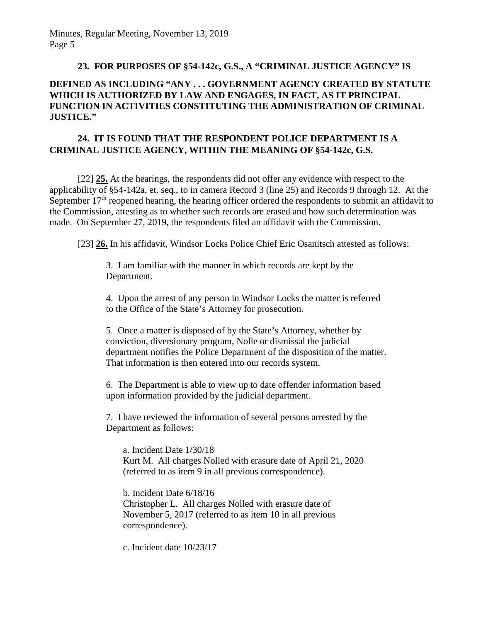### **23. FOR PURPOSES OF §54-142c, G.S., A "CRIMINAL JUSTICE AGENCY" IS**

# **DEFINED AS INCLUDING "ANY . . . GOVERNMENT AGENCY CREATED BY STATUTE WHICH IS AUTHORIZED BY LAW AND ENGAGES, IN FACT, AS IT PRINCIPAL FUNCTION IN ACTIVITIES CONSTITUTING THE ADMINISTRATION OF CRIMINAL JUSTICE."**

# **24. IT IS FOUND THAT THE RESPONDENT POLICE DEPARTMENT IS A CRIMINAL JUSTICE AGENCY, WITHIN THE MEANING OF §54-142c, G.S.**

[22] **25.** At the hearings, the respondents did not offer any evidence with respect to the applicability of §54-142a, et. seq., to in camera Record 3 (line 25) and Records 9 through 12. At the September  $17<sup>th</sup>$  reopened hearing, the hearing officer ordered the respondents to submit an affidavit to the Commission, attesting as to whether such records are erased and how such determination was made. On September 27, 2019, the respondents filed an affidavit with the Commission.

[23] **26.** In his affidavit, Windsor Locks Police Chief Eric Osanitsch attested as follows:

3. I am familiar with the manner in which records are kept by the Department.

4. Upon the arrest of any person in Windsor Locks the matter is referred to the Office of the State's Attorney for prosecution.

5. Once a matter is disposed of by the State's Attorney, whether by conviction, diversionary program, Nolle or dismissal the judicial department notifies the Police Department of the disposition of the matter. That information is then entered into our records system.

6. The Department is able to view up to date offender information based upon information provided by the judicial department.

7. I have reviewed the information of several persons arrested by the Department as follows:

a. Incident Date 1/30/18 Kurt M. All charges Nolled with erasure date of April 21, 2020 (referred to as item 9 in all previous correspondence).

b. Incident Date 6/18/16 Christopher L. All charges Nolled with erasure date of November 5, 2017 (referred to as item 10 in all previous correspondence).

c. Incident date 10/23/17